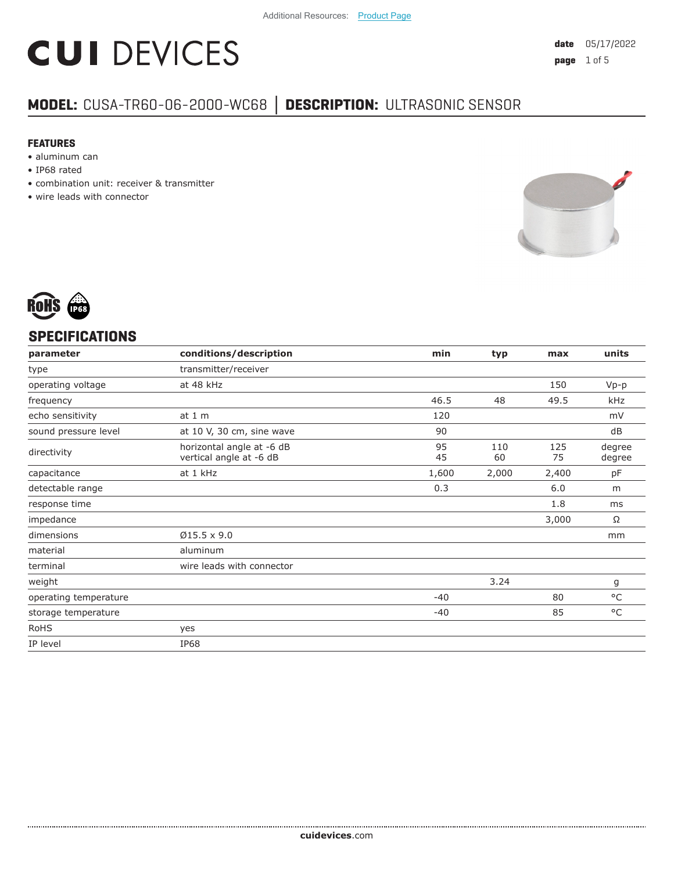# **CUI DEVICES**

### **MODEL:** CUSA-TR60-06-2000-WC68 **│ DESCRIPTION:** ULTRASONIC SENSOR

#### **FEATURES**

- aluminum can
- IP68 rated
- combination unit: receiver & transmitter
- wire leads with connector





#### **SPECIFICATIONS**

| parameter             | conditions/description                               | min      | typ       | max       | units            |
|-----------------------|------------------------------------------------------|----------|-----------|-----------|------------------|
| type                  | transmitter/receiver                                 |          |           |           |                  |
| operating voltage     | at 48 kHz                                            |          |           | 150       | $Vp-p$           |
| frequency             |                                                      | 46.5     | 48        | 49.5      | kHz              |
| echo sensitivity      | at 1 m                                               | 120      |           |           | mV               |
| sound pressure level  | at 10 V, 30 cm, sine wave                            | 90       |           |           | dB               |
| directivity           | horizontal angle at -6 dB<br>vertical angle at -6 dB | 95<br>45 | 110<br>60 | 125<br>75 | degree<br>degree |
| capacitance           | at 1 kHz                                             | 1,600    | 2,000     | 2,400     | рF               |
| detectable range      |                                                      | 0.3      |           | 6.0       | m                |
| response time         |                                                      |          |           | 1.8       | ms               |
| impedance             |                                                      |          |           | 3,000     | Ω                |
| dimensions            | $Ø15.5 \times 9.0$                                   |          |           |           | mm               |
| material              | aluminum                                             |          |           |           |                  |
| terminal              | wire leads with connector                            |          |           |           |                  |
| weight                |                                                      |          | 3.24      |           | g                |
| operating temperature |                                                      | $-40$    |           | 80        | °C               |
| storage temperature   |                                                      | $-40$    |           | 85        | °C               |
| <b>RoHS</b>           | yes                                                  |          |           |           |                  |
| IP level              | <b>IP68</b>                                          |          |           |           |                  |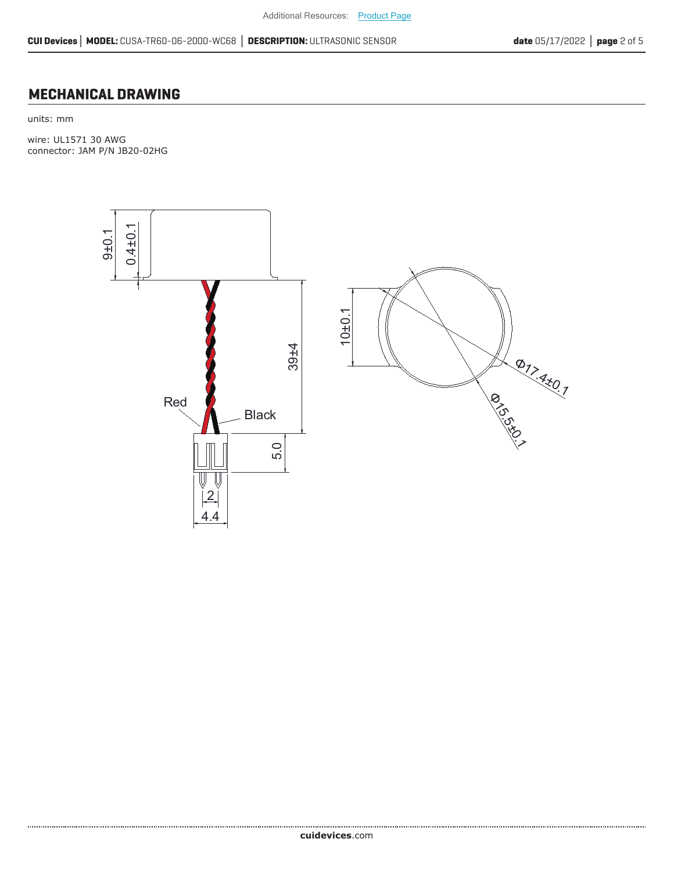$\frac{\phi_{7}}{\phi_{7}}$ 

 $\stackrel{\star}{\ll}$ 1

 $\overline{\mathcal{O}}$ 

15.5th

#### **MECHANICAL DRAWING**

units: mm

....................................

wire: UL1571 30 AWG connector: JAM P/N JB20-02HG



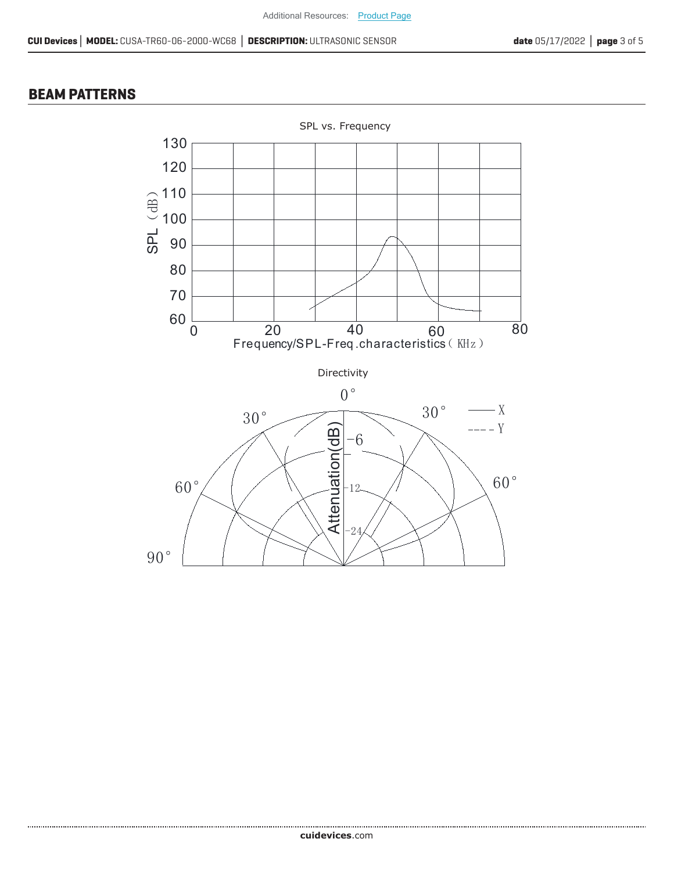#### **BEAM PATTERNS**

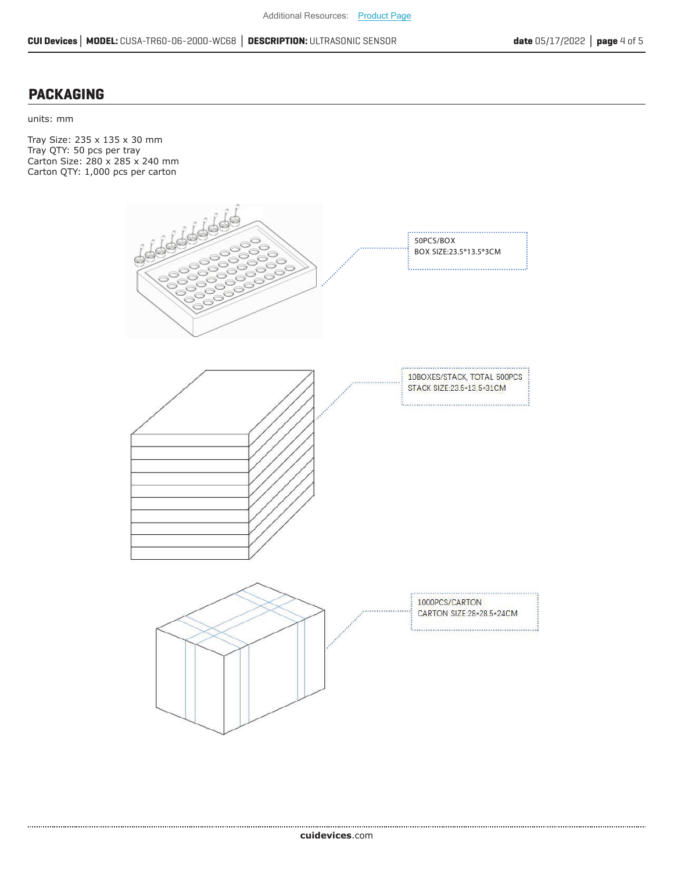#### **PACKAGING**

units: mm

Tray Size: 235 x 135 x 30 mm Tray QTY: 50 pcs per tray Carton Size: 280 x 285 x 240 mm Carton QTY: 1,000 pcs per carton